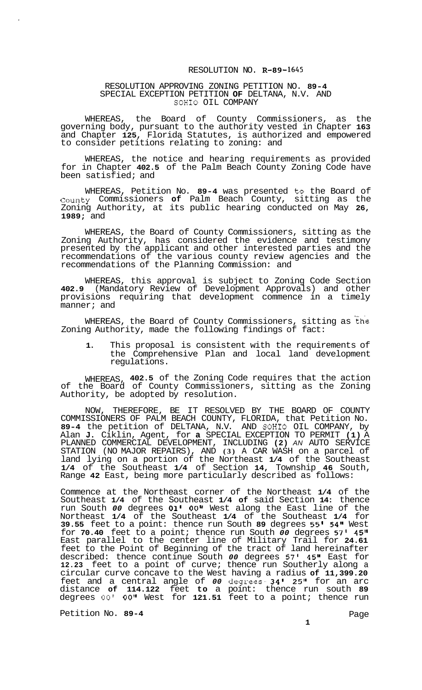## RESOLUTION NO. **R-89-1645**

## RESOLUTION APPROVING ZONING PETITION NO. **89-4**  SPECIAL EXCEPTION PETITION **OF** DELTANA, N.V. AND SOHIO OIL COMPANY

WHEREAS, the Board of County Commissioners, as the governing body, pursuant to the authority vested in Chapter **163**  and Chapter **125,** Florida Statutes, is authorized and empowered to consider petitions relating to zoning: and

WHEREAS, the notice and hearing requirements as provided for in Chapter **402.5** of the Palm Beach County Zoning Code have been satisfied; and

WHEREAS, Petition No. **89-4** was presented to the Board of County Commissioners **of** Palm Beach County, sitting as the Zoning Authority, at its public hearing conducted on May **26, 1989;** and

WHEREAS, the Board of County Commissioners, sitting as the Zoning Authority, has considered the evidence and testimony presented by the applicant and other interested parties and the recommendations of the various county review agencies and the recommendations of the Planning Commission: and

WHEREAS, this approval is subject to Zoning Code Section **402.9** (Mandatory Review of Development Approvals) and other provisions requiring that development commence in a timely manner; and

WHEREAS, the Board of County Commissioners, sitting as the Zoning Authority, made the following findings of fact:

**1.** This proposal is consistent with the requirements of the Comprehensive Plan and local land development regulations.

WHEREAS, **402.5** of the Zoning Code requires that the action of the Board of County Commissioners, sitting as the Zoning Authority, be adopted by resolution.

NOW, THEREFORE, BE IT RESOLVED BY THE BOARD OF COUNTY COMMISSIONERS OF PALM BEACH COUNTY, FLORIDA, that Petition No. **89-4** the petition of DELTANA, N.V. AND SOHIO OIL COMPANY, by Alan **J.** Ciklin, Agent, for **a** SPECIAL EXCEPTION TO PERMIT **(1)** A PLANNED COMMERCIAL DEVELOPMENT, INCLUDING **(2)** *AN* AUTO SERVICE STATION (NO MAJOR REPAIRS), AND **(3)** A CAR WASH on a parcel of land lying on a portion of the Northeast **1/4** of the Southeast **1/4** of the Southeast **1/4** of Section **14,** Township **46** South, Range **42** East, being more particularly described as follows:

Commence at the Northeast corner of the Northeast **1/4** of the Southeast **1/4** of the Southeast **1/4 of** said Section **14:** thence run South *00* degrees **01' OO'I** West along the East line of the Northeast **1/4** of the Southeast **1/4** of the Southeast **1/4** for **39.55** feet to a point: thence run South **89** degrees **55' 54"** West for **70.40** feet to a point; thence run South *00* degrees **57' 45"**  East parallel to the center line of Military Trail for **24.61**  feet to the Point of Beginning of the tract of land hereinafter described: thence continue South *00* degrees 57' **45"** East for **12.23** feet to a point of curve; thence run Southerly along a circular curve concave to the West having a radius **of 11,399.20**  feet and a central angle of *00* degrees- **34' 25"** for an arc distance **of 114.122** feet **to** a point: thence run south **89**  degrees *00' 00"* West for **121.51** feet to a point; thence run

Petition No. 89-4 **Petition No. 89-4 Page** 

**1**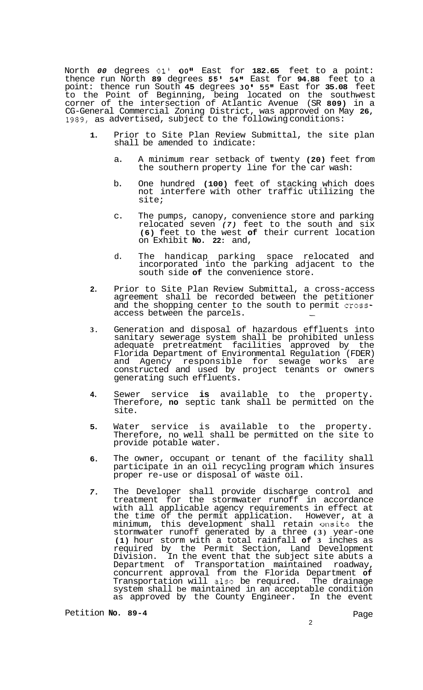North *00* degrees **01' OOI'** East for **182.65** feet to a point: thence run North **89** degrees **55' 54"** East for **94.88** feet to a point: thence run South **45** degrees **30' 55"** East for **35.08** feet to the Point of Beginning, being located on the southwest corner of the intersection of Atlantic Avenue (SR **809)** in a CG-General Commercial Zoning District, was approved on May **26, 1989,** as advertised, subject to the following conditions:

- **1.**  Prior to Site Plan Review Submittal, the site plan shall be amended to indicate:
	- a. A minimum rear setback of twenty **(20)** feet from the southern property line for the car wash:
	- b. One hundred **(100)** feet of stacking which does not interfere with other traffic utilizing the site;
	- c. The pumps, canopy, convenience store and parking relocated seven *(7)* feet to the south and six **(6)** feet to the west **of** their current location on Exhibit **No. 22:** and,
	- d. The handicap parking space relocated and incorporated into the parking adjacent to the south side **of** the convenience store.
- **2.**  Prior to Site Plan Review Submittal, a cross-access agreement shall be recorded between the petitioner and the shopping center to the south to permit cross-<br>access between the parcels.
- **3.**  Generation and disposal of hazardous effluents into sanitary sewerage system shall be prohibited unless adequate pretreatment facilities approved by the Florida Department of Environmental Regulation (FDER) and Agency responsible for sewage works are constructed and used by project tenants or owners generating such effluents.
- **4.**  Sewer service **is** available to the property. Therefore, **no** septic tank shall be permitted on the site.
- **5.**  Water service is available to the property. Therefore, no well shall be permitted on the site to provide potable water.
- **6.**  The owner, occupant or tenant of the facility shall participate in an oil recycling program which insures proper re-use or disposal of waste oil.
- *7.*  The Developer shall provide discharge control and treatment for the stormwater runoff in accordance with all applicable agency requirements in effect at the time of the permit application. However, at a minimum, this development shall retain onsite the stormwater runoff generated by a three **(3)** year-one **(1)** hour storm with a total rainfall **of 3** inches as required by the Permit Section, Land Development Division. In the event that the subject site abuts a Department of Transportation maintained roadway, concurrent approval from the Florida Department **of**  Transportation will also be required. The drainage system shall be maintained in an acceptable condition as approved by the County Engineer. In the event

Petition **No. 89-4** Page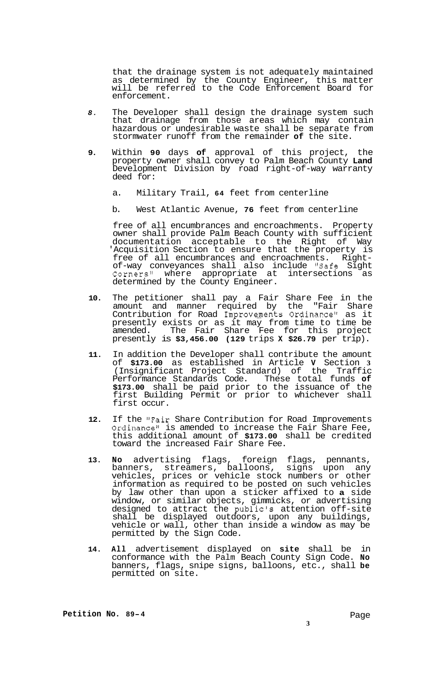that the drainage system is not adequately maintained as determined by the County Engineer, this matter will be referred to the Code Enforcement Board for enforcement.

- *8.* The Developer shall design the drainage system such that drainage from those areas which may contain hazardous or undesirable waste shall be separate from stormwater runoff from the remainder **of** the site.
- **9.** Within **90** days **of** approval of this project, the property owner shall convey to Palm Beach County **Land**  Development Division by road right-of-way warranty deed for:
	- a. Military Trail, **64** feet from centerline
	- b. West Atlantic Avenue, **76** feet from centerline

free of all encumbrances and encroachments. Property owner shall provide Palm Beach County with sufficient documentation acceptable to the Right of Way 'Acquisition Section to ensure that the property is free of all encumbrances and encroachments. Right- of-way conveyances shall also include "Safe Sight Corners" where appropriate at intersections as determined by the County Engineer.

- **10.** The petitioner shall pay a Fair Share Fee in the amount and manner required by the "Fair Share Contribution for Road Improvements Ordinance" as it presently exists or as it may from time to time be amended. The Fair Share Fee for this project presently is **\$3,456.00 (129** trips **X \$26.79** per trip).
- **11.** In addition the Developer shall contribute the amount of **\$173.00** as established in Article **V** Section **3**  (Insignificant Project Standard) of the Traffic Performance Standards Code. These total funds **of \$173.00** shall be paid prior to the issuance of the first Building Permit or prior to whichever shall first occur.
- **12.** If the "Fair Share Contribution for Road Improvements Ordinance" is amended to increase the Fair Share Fee, this additional amount of **\$173.00** shall be credited toward the increased Fair Share Fee.
- **13. No** advertising flags, foreign flags, pennants, banners, streamers, balloons, signs upon any vehicles, prices or vehicle stock numbers or other information as required to be posted on such vehicles by law other than upon a sticker affixed to **a** side window, or similar objects, gimmicks, or advertising designed to attract the public's attention off-site shall be displayed outdoors, upon any buildings, vehicle or wall, other than inside a window as may be permitted by the Sign Code.
- **14. All** advertisement displayed on **site** shall be in conformance with the Palm Beach County Sign Code. **No**  banners, flags, snipe signs, balloons, etc., shall **be**  permitted on site.